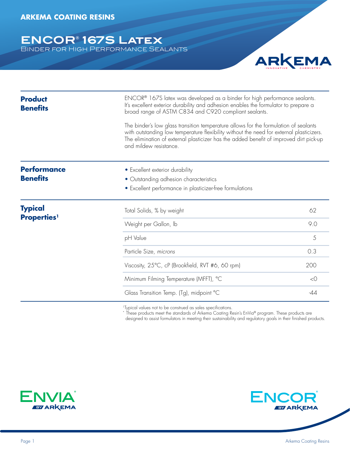**ENCOR® 167S Latex** Binder for High Performance Sealants

**Product Benefits Performance Benefits Typical Properties1** ENCOR® 167S latex was developed as a binder for high performance sealants. It's excellent exterior durability and adhesion enables the formulator to prepare a broad range of ASTM C834 and C920 compliant sealants. The binder's low glass transition temperature allows for the formulation of sealants with outstanding low temperature flexibility without the need for external plasticizers. The elimination of external plasticizer has the added benefit of improved dirt pick-up and mildew resistance. • Excellent exterior durability • Outstanding adhesion characteristics • Excellent performance in plasticizer-free formulations Total Solids, % by weight 62 Weight per Gallon, Ib 9.0 pH Value 5 Particle Size, *microns* 0.3 Viscosity, 25°C, cP (Brookfield, RVT #6, 60 rpm) 200 Minimum Filming Temperature (MFFT), °C <0 Glass Transition Temp. (Tg), midpoint °C -44

1Typical values not to be construed as sales specifications.

 $^{\star}$  These products meet the standards of Arkema Coating Resin's EnVia® program. These products are

designed to assist formulators in meeting their sustainability and regulatory goals in their finished products.





ARKEMA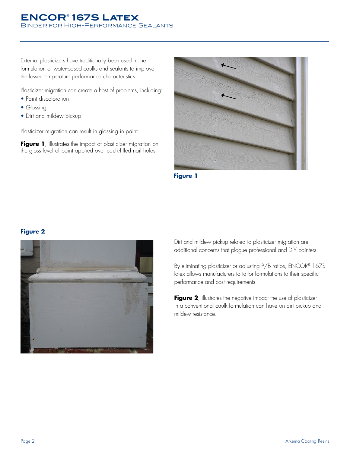#### **ENCOR® 167S Latex** Binder for High-Performance Sealants

External plasticizers have traditionally been used in the formulation of water-based caulks and sealants to improve the lower temperature performance characteristics.

Plasticizer migration can create a host of problems, including:

- Paint discoloration
- Glossing
- Dirt and mildew pickup

Plasticizer migration can result in glossing in paint.

Figure 1, illustrates the impact of plasticizer migration on the gloss level of paint applied over caulk-filled nail holes.





#### **Figure 2**



Dirt and mildew pickup related to plasticizer migration are additional concerns that plague professional and DIY painters.

By eliminating plasticizer or adjusting P/B ratios, ENCOR® 167S latex allows manufacturers to tailor formulations to their specific performance and cost requirements.

Figure 2, illustrates the negative impact the use of plasticizer in a conventional caulk formulation can have on dirt pickup and mildew resistance.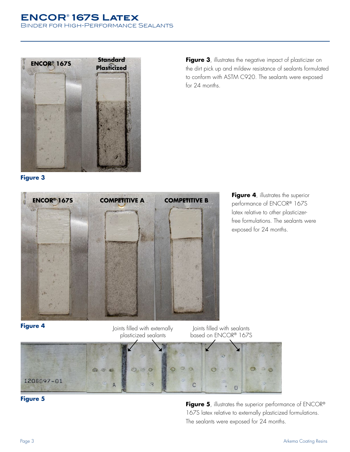#### **ENCOR® 167S Latex** Binder for High-Performance Sealants



Figure 3, illustrates the negative impact of plasticizer on the dirt pick up and mildew resistance of sealants formulated to conform with ASTM C920. The sealants were exposed for 24 months.

**Figure 3**



**Figure 4**, illustrates the superior performance of ENCOR® 167S latex relative to other plasticizerfree formulations. The sealants were exposed for 24 months.



Joints filled with externally plasticized sealants

Joints filled with sealants based on ENCOR® 167S





**Figure 5**, illustrates the superior performance of ENCOR® 167S latex relative to externally plasticized formulations. The sealants were exposed for 24 months.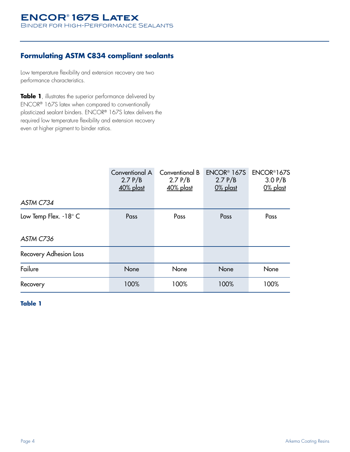## **Formulating ASTM C834 compliant sealants**

Low temperature flexibility and extension recovery are two performance characteristics.

**Table 1**, illustrates the superior performance delivered by ENCOR® 167S latex when compared to conventionally plasticized sealant binders. ENCOR® 167S latex delivers the required low temperature flexibility and extension recovery even at higher pigment to binder ratios.

|                        | Conventional A<br>2.7 P/B<br>40% plast | Conventional B<br>2.7 P/B<br><u>40% plast</u> | ENCOR <sup>®</sup> 167S<br>2.7 P/B<br>$0\%$ plast | ENCOR <sup>®</sup> 167S<br>3.0 P/B<br>$0\%$ plast |
|------------------------|----------------------------------------|-----------------------------------------------|---------------------------------------------------|---------------------------------------------------|
| ASTM C734              |                                        |                                               |                                                   |                                                   |
| Low Temp Flex. -18° C  | Pass                                   | Pass                                          | Pass                                              | Pass                                              |
| ASTM C736              |                                        |                                               |                                                   |                                                   |
| Recovery Adhesion Loss |                                        |                                               |                                                   |                                                   |
| Failure                | None                                   | None                                          | None                                              | None                                              |
| Recovery               | 100%                                   | 100%                                          | 100%                                              | 100%                                              |

**Table 1**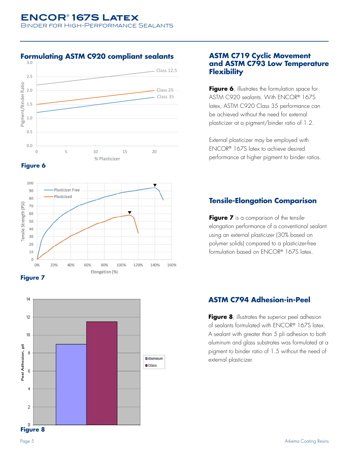### **Formulating ASTM C920 compliant sealants**











#### **ASTM C719 Cyclic Movement and ASTM C793 Low Temperature Flexibility**

**Figure 6**, illustrates the formulation space for ASTM C920 sealants. With ENCOR® 167S latex, ASTM C920 Class 35 performance can be achieved without the need for external plasticizer at a pigment/binder ratio of 1.2.

External plasticizer may be employed with ENCOR® 167S latex to achieve desired performance at higher pigment to binder ratios.

## **Tensile-Elongation Comparison**

Figure 7 is a comparison of the tensileelongation performance of a conventional sealant using an external plasticizer (30% based on polymer solids) compared to a plasticizer-free formulation based on ENCOR® 167S latex.

## **ASTM C794 Adhesion-in-Peel**

**Figure 8**, illustrates the superior peel adhesion of sealants formulated with ENCOR® 167S latex. A sealant with greater than 5 pli adhesion to both aluminum and glass substrates was formulated at a pigment to binder ratio of 1.5 without the need of external plasticizer.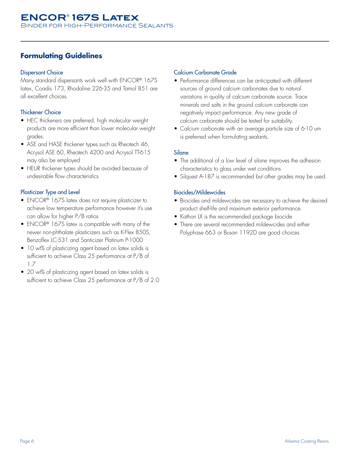## **Formulating Guidelines**

#### Dispersant Choice

Many standard dispersants work well with ENCOR® 167S latex, Coadis 173, Rhodaline 226-35 and Tamol 851 are all excellent choices.

#### Thickener Choice

- HEC thickeners are preferred, high molecular weight products are more efficient than lower molecular weight grades.
- ASE and HASE thickener types such as Rheotech 46, Acrysol ASE 60, Rheotech 4200 and Acrysol TT-615 may also be employed
- HEUR thickener types should be avoided because of undesirable flow characteristics

#### Plasticizer Type and Level

- ENCOR® 167S latex does not require plasticizer to achieve low temperature performance however it's use can allow for higher P/B ratios
- ENCOR® 167S latex is compatible with many of the newer non-phthalate plasticizers such as K-Flex 850S, Benzoflex LC-531 and Santicizer Platinum P-1000
- 10 wt% of plasticizing agent based on latex solids is sufficient to achieve Class 25 performance at P/B of 1.7
- 20 wt% of plasticizing agent based on latex solids is sufficient to achieve Class 25 performance at P/B of 2.0

#### Calcium Carbonate Grade

- Performance differences can be anticipated with different sources of ground calcium carbonates due to natural variations in quality of calcium carbonate source. Trace minerals and salts in the ground calcium carbonate can negatively impact performance. Any new grade of calcium carbonate should be tested for suitability.
- Calcium carbonate with an average particle size of 6-10 um is preferred when formulating sealants.

#### **Silane**

- The additional of a low level of silane improves the adhesion characteristics to glass under wet conditions
- Silquest A-187 is recommended but other grades may be used.

#### Biocides/Mildewcides

- Biocides and mildewcides are necessary to achieve the desired product shelf-life and maximum exterior performance.
- Kathon LX is the recommended package biocide
- There are several recommended mildewcides and either Polyphase 663 or Busan 1192D are good choices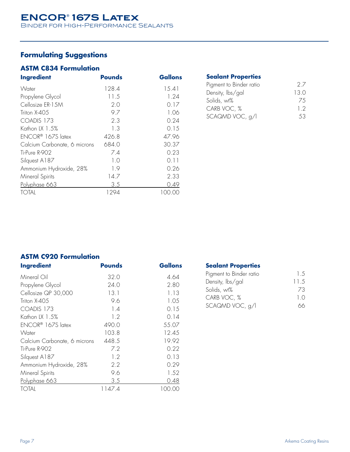# **Formulating Suggestions**

## **ASTM C834 Formulation**

| <b>Ingredient</b>            | <b>Pounds</b> | <b>Gallons</b> |
|------------------------------|---------------|----------------|
| Water                        | 128.4         | 15.41          |
| Propylene Glycol             | 11.5          | 1.24           |
| Cellosize ER-15M             | 2.0           | 0.17           |
| Triton X-405                 | 9.7           | 1.06           |
| COADIS 173                   | 2.3           | 0.24           |
| Kathon LX 1.5%               | 1.3           | 0.15           |
| ENCOR® 167S latex            | 426.8         | 47.96          |
| Calcium Carbonate, 6 microns | 684.0         | 30.37          |
| Ti-Pure R-902                | 7.4           | 0.23           |
| Silquest A187                | 1.0           | 0.11           |
| Ammonium Hydroxide, 28%      | 1.9           | 0.26           |
| Mineral Spirits              | 14.7          | 2.33           |
| Polyphase 663                | 3.5           | 0.49           |
| <b>TOTAL</b>                 | 1294          | 100.00         |
|                              |               |                |

| <b>Sealant Properties</b> |     |
|---------------------------|-----|
| Pigment to Binder ratio   | 27  |
| Density, lbs/gal          | 130 |
| Solids, wt%               | 75  |
| CARB VOC, %               | 12  |
| SCAQMD VOC, g/l           | 53  |

# **ASTM C920 Formulation**

| <b>Ingredient</b>            | <b>Pounds</b> | Gallons |
|------------------------------|---------------|---------|
| Mineral Oil                  | 32.0          | 4.64    |
| Propylene Glycol             | 24.0          | 2.80    |
| Cellosize QP 30,000          | 13.1          | 1.13    |
| Triton X-405                 | 9.6           | 1.05    |
| COADIS 173                   | 1.4           | 0.15    |
| Kathon LX 1.5%               | 1.2           | 0.14    |
| ENCOR® 167S latex            | 490.0         | 55.07   |
| Water                        | 103.8         | 12.45   |
| Calcium Carbonate, 6 microns | 448.5         | 19.92   |
| Ti-Pure R-902                | 7.2           | 0.22    |
| Silquest A187                | 1.2           | 0.13    |
| Ammonium Hydroxide, 28%      | 2.2           | 0.29    |
| Mineral Spirits              | 9.6           | 1.52    |
| Polyphase 663                | 3.5           | 0.48    |
| <b>TOTAL</b>                 | 1147.4        | 100.00  |
|                              |               |         |

| <b>Sealant Properties</b> |      |
|---------------------------|------|
| Pigment to Binder ratio   | 15   |
| Density, lbs/gal          | 11.5 |
| Solids, wt%               | 73   |
| CARB VOC, %               | 1 O  |
| SCAQMD VOC, g/l           |      |